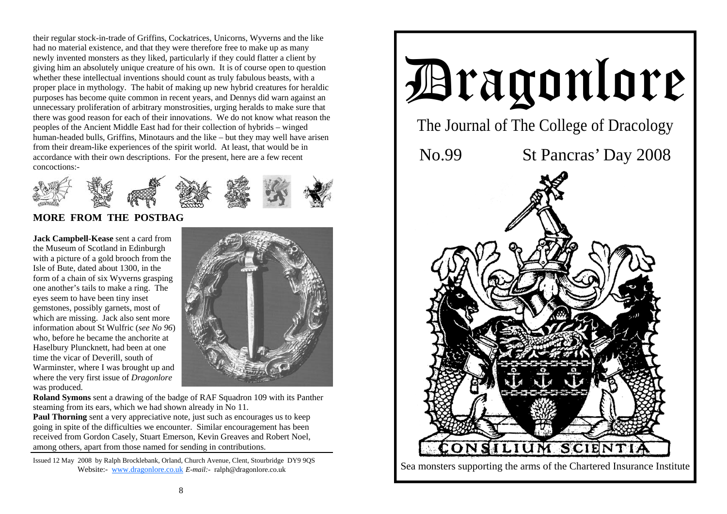their regular stock-in-trade of Griffins, Cockatrices, Unicorns, Wyverns and the like had no material existence, and that they were therefore free to make up as many newly invented monsters as they liked, particularly if they could flatter a client by giving him an absolutely unique creature of his own. It is of course open to question whether these intellectual inventions should count as truly fabulous beasts, with a proper place in mythology. The habit of making up new hybrid creatures for heraldic purposes has become quite common in recent years, and Dennys did warn against an unnecessary proliferation of arbitrary monstrosities, urging heralds to make sure that there was good reason for each of their innovations. We do not know what reason the peoples of the Ancient Middle East had for their collection of hybrids – winged human-headed bulls, Griffins, Minotaurs and the like – but they may well have arisen from their dream-like experiences of the spirit world. At least, that would be in accordance with their own descriptions. For the present, here are a few recent concoctions:-



# **MORE FROM THE POSTBAG**

**Jack Campbell-Kease** sent a card from the Museum of Scotland in Edinburgh with a picture of a gold brooch from the Isle of Bute, dated about 1300, in the form of a chain of six Wyverns grasping one another's tails to make a ring. The eyes seem to have been tiny inset gemstones, possibly garnets, most of which are missing. Jack also sent more information about St Wulfric (*see No 96*) who, before he became the anchorite at Haselbury Pluncknett, had been at one time the vicar of Deverill, south of Warminster, where I was brought up and where the very first issue of *Dragonlore* was produced.



**Roland Symons** sent a drawing of the badge of RAF Squadron 109 with its Panther steaming from its ears, which we had shown already in No 11.

**Paul Thorning** sent a very appreciative note, just such as encourages us to keep going in spite of the difficulties we encounter. Similar encouragement has been received from Gordon Casely, Stuart Emerson, Kevin Greaves and Robert Noel, among others, apart from those named for sending in contributions.

Issued 12 May 2008 by Ralph Brocklebank, Orland, Church Avenue, Clent, Stourbridge DY9 9QS Website:- www.dragonlore.co.uk *E-mail:-* ralph@dragonlore.co.uk

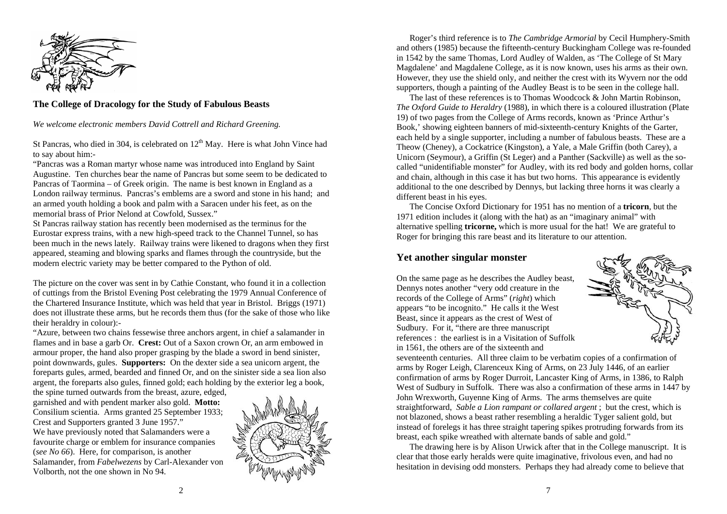

#### **The College of Dracology for the Study of Fabulous Beasts**

*We welcome electronic members David Cottrell and Richard Greening.* 

St Pancras, who died in 304, is celebrated on  $12<sup>th</sup>$  May. Here is what John Vince had to say about him:-

"Pancras was a Roman martyr whose name was introduced into England by Saint Augustine. Ten churches bear the name of Pancras but some seem to be dedicated to Pancras of Taormina – of Greek origin. The name is best known in England as a London railway terminus. Pancras's emblems are a sword and stone in his hand; and an armed youth holding a book and palm with a Saracen under his feet, as on the memorial brass of Prior Nelond at Cowfold, Sussex."

St Pancras railway station has recently been modernised as the terminus for the Eurostar express trains, with a new high-speed track to the Channel Tunnel, so has been much in the news lately. Railway trains were likened to dragons when they first appeared, steaming and blowing sparks and flames through the countryside, but the modern electric variety may be better compared to the Python of old.

The picture on the cover was sent in by Cathie Constant, who found it in a collection of cuttings from the Bristol Evening Post celebrating the 1979 Annual Conference of the Chartered Insurance Institute, which was held that year in Bristol. Briggs (1971) does not illustrate these arms, but he records them thus (for the sake of those who like their heraldry in colour):-

"Azure, between two chains fessewise three anchors argent, in chief a salamander in flames and in base a garb Or. **Crest:** Out of a Saxon crown Or, an arm embowed in armour proper, the hand also proper grasping by the blade a sword in bend sinister, point downwards, gules. **Supporters:** On the dexter side a sea unicorn argent, the foreparts gules, armed, bearded and finned Or, and on the sinister side a sea lion also argent, the foreparts also gules, finned gold; each holding by the exterior leg a book,

the spine turned outwards from the breast, azure, edged, garnished and with pendent marker also gold. **Motto:**  Consilium scientia. Arms granted 25 September 1933; Crest and Supporters granted 3 June 1957." We have previously noted that Salamanders were a favourite charge or emblem for insurance companies (*see No 66*). Here, for comparison, is another Salamander, from *Fabelwezens* by Carl-Alexander von Volborth, not the one shown in No 94.



 Roger's third reference is to *The Cambridge Armorial* by Cecil Humphery-Smith and others (1985) because the fifteenth-century Buckingham College was re-founded in 1542 by the same Thomas, Lord Audley of Walden, as 'The College of St Mary Magdalene' and Magdalene College, as it is now known, uses his arms as their own. However, they use the shield only, and neither the crest with its Wyvern nor the odd supporters, though a painting of the Audley Beast is to be seen in the college hall.

The last of these references is to Thomas Woodcock & John Martin Robinson, *The Oxford Guide to Heraldry* (1988), in which there is a coloured illustration (Plate 19) of two pages from the College of Arms records, known as 'Prince Arthur's Book,' showing eighteen banners of mid-sixteenth-century Knights of the Garter, each held by a single supporter, including a number of fabulous beasts. These are a Theow (Cheney), a Cockatrice (Kingston), a Yale, a Male Griffin (both Carey), a Unicorn (Seymour), a Griffin (St Leger) and a Panther (Sackville) as well as the socalled "unidentifiable monster" for Audley, with its red body and golden horns, collar and chain, although in this case it has but two horns. This appearance is evidently additional to the one described by Dennys, but lacking three horns it was clearly a different beast in his eyes.

 The Concise Oxford Dictionary for 1951 has no mention of a **tricorn**, but the 1971 edition includes it (along with the hat) as an "imaginary animal" with alternative spelling **tricorne,** which is more usual for the hat! We are grateful to Roger for bringing this rare beast and its literature to our attention.

### **Yet another singular monster**

On the same page as he describes the Audley beast, Dennys notes another "very odd creature in the records of the College of Arms" (*right*) which appears "to be incognito." He calls it the West Beast, since it appears as the crest of West of Sudbury. For it, "there are three manuscript references : the earliest is in a Visitation of Suffolk in 1561, the others are of the sixteenth and



seventeenth centuries. All three claim to be verbatim copies of a confirmation of arms by Roger Leigh, Clarenceux King of Arms, on 23 July 1446, of an earlier confirmation of arms by Roger Durroit, Lancaster King of Arms, in 1386, to Ralph West of Sudbury in Suffolk. There was also a confirmation of these arms in 1447 by John Wrexworth, Guyenne King of Arms. The arms themselves are quite straightforward, *Sable a Lion rampant or collared argent* ; but the crest, which is not blazoned, shows a beast rather resembling a heraldic Tyger salient gold, but instead of forelegs it has three straight tapering spikes protruding forwards from its breast, each spike wreathed with alternate bands of sable and gold."

 The drawing here is by Alison Urwick after that in the College manuscript. It is clear that those early heralds were quite imaginative, frivolous even, and had no hesitation in devising odd monsters. Perhaps they had already come to believe that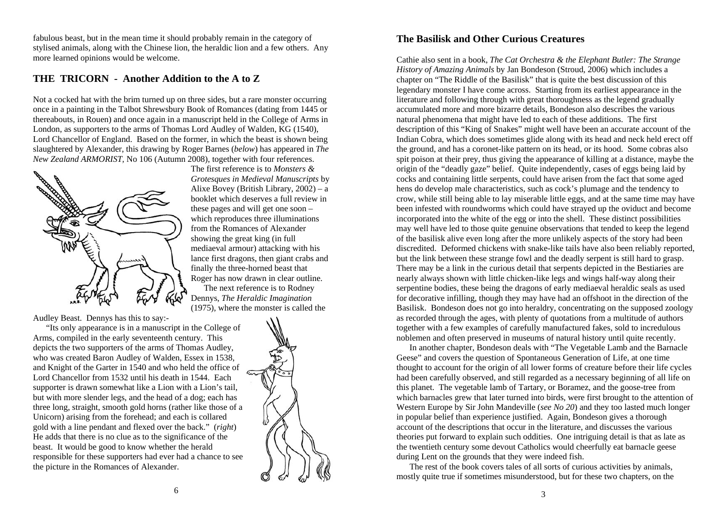fabulous beast, but in the mean time it should probably remain in the category of stylised animals, along with the Chinese lion, the heraldic lion and a few others. Any more learned opinions would be welcome.

#### **THE TRICORN - Another Addition to the A to Z**

Not a cocked hat with the brim turned up on three sides, but a rare monster occurring once in a painting in the Talbot Shrewsbury Book of Romances (dating from 1445 or thereabouts, in Rouen) and once again in a manuscript held in the College of Arms in London, as supporters to the arms of Thomas Lord Audley of Walden, KG (1540), Lord Chancellor of England. Based on the former, in which the beast is shown being slaughtered by Alexander, this drawing by Roger Barnes (*below*) has appeared in *The New Zealand ARMORIST,* No 106 (Autumn 2008), together with four references.



The first reference is to *Monsters & Grotesques in Medieval Manuscripts* by Alixe Bovey (British Library, 2002) – a booklet which deserves a full review in these pages and will get one soon – which reproduces three illuminations from the Romances of Alexander showing the great king (in full mediaeval armour) attacking with his lance first dragons, then giant crabs and finally the three-horned beast that Roger has now drawn in clear outline. The next reference is to Rodney Dennys, *The Heraldic Imagination*  (1975), where the monster is called the

Audley Beast. Dennys has this to say:-

 "Its only appearance is in a manuscript in the College of Arms, compiled in the early seventeenth century. This depicts the two supporters of the arms of Thomas Audley, who was created Baron Audley of Walden, Essex in 1538, and Knight of the Garter in 1540 and who held the office of Lord Chancellor from 1532 until his death in 1544. Each supporter is drawn somewhat like a Lion with a Lion's tail, but with more slender legs, and the head of a dog; each has three long, straight, smooth gold horns (rather like those of a Unicorn) arising from the forehead; and each is collared gold with a line pendant and flexed over the back." (*right*) He adds that there is no clue as to the significance of the beast. It would be good to know whether the herald responsible for these supporters had ever had a chance to see the picture in the Romances of Alexander.



## **The Basilisk and Other Curious Creatures**

Cathie also sent in a book, *The Cat Orchestra & the Elephant Butler: The Strange History of Amazing Animals* by Jan Bondeson (Stroud, 2006) which includes a chapter on "The Riddle of the Basilisk" that is quite the best discussion of this legendary monster I have come across. Starting from its earliest appearance in the literature and following through with great thoroughness as the legend gradually accumulated more and more bizarre details, Bondeson also describes the various natural phenomena that might have led to each of these additions. The first description of this "King of Snakes" might well have been an accurate account of the Indian Cobra, which does sometimes glide along with its head and neck held erect off the ground, and has a coronet-like pattern on its head, or its hood. Some cobras also spit poison at their prey, thus giving the appearance of killing at a distance, maybe the origin of the "deadly gaze" belief. Quite independently, cases of eggs being laid by cocks and containing little serpents, could have arisen from the fact that some aged hens do develop male characteristics, such as cock's plumage and the tendency to crow, while still being able to lay miserable little eggs, and at the same time may have been infested with roundworms which could have strayed up the oviduct and become incorporated into the white of the egg or into the shell. These distinct possibilities may well have led to those quite genuine observations that tended to keep the legend of the basilisk alive even long after the more unlikely aspects of the story had been discredited. Deformed chickens with snake-like tails have also been reliably reported, but the link between these strange fowl and the deadly serpent is still hard to grasp. There may be a link in the curious detail that serpents depicted in the Bestiaries are nearly always shown with little chicken-like legs and wings half-way along their serpentine bodies, these being the dragons of early mediaeval heraldic seals as used for decorative infilling, though they may have had an offshoot in the direction of the Basilisk. Bondeson does not go into heraldry, concentrating on the supposed zoology as recorded through the ages, with plenty of quotations from a multitude of authors together with a few examples of carefully manufactured fakes, sold to incredulous noblemen and often preserved in museums of natural history until quite recently.

 In another chapter, Bondeson deals with "The Vegetable Lamb and the Barnacle Geese" and covers the question of Spontaneous Generation of Life, at one time thought to account for the origin of all lower forms of creature before their life cycles had been carefully observed, and still regarded as a necessary beginning of all life on this planet. The vegetable lamb of Tartary, or Boramez, and the goose-tree from which barnacles grew that later turned into birds, were first brought to the attention of Western Europe by Sir John Mandeville (*see No 20*) and they too lasted much longer in popular belief than experience justified. Again, Bondeson gives a thorough account of the descriptions that occur in the literature, and discusses the various theories put forward to explain such oddities. One intriguing detail is that as late as the twentieth century some devout Catholics would cheerfully eat barnacle geese during Lent on the grounds that they were indeed fish.

 The rest of the book covers tales of all sorts of curious activities by animals, mostly quite true if sometimes misunderstood, but for these two chapters, on the